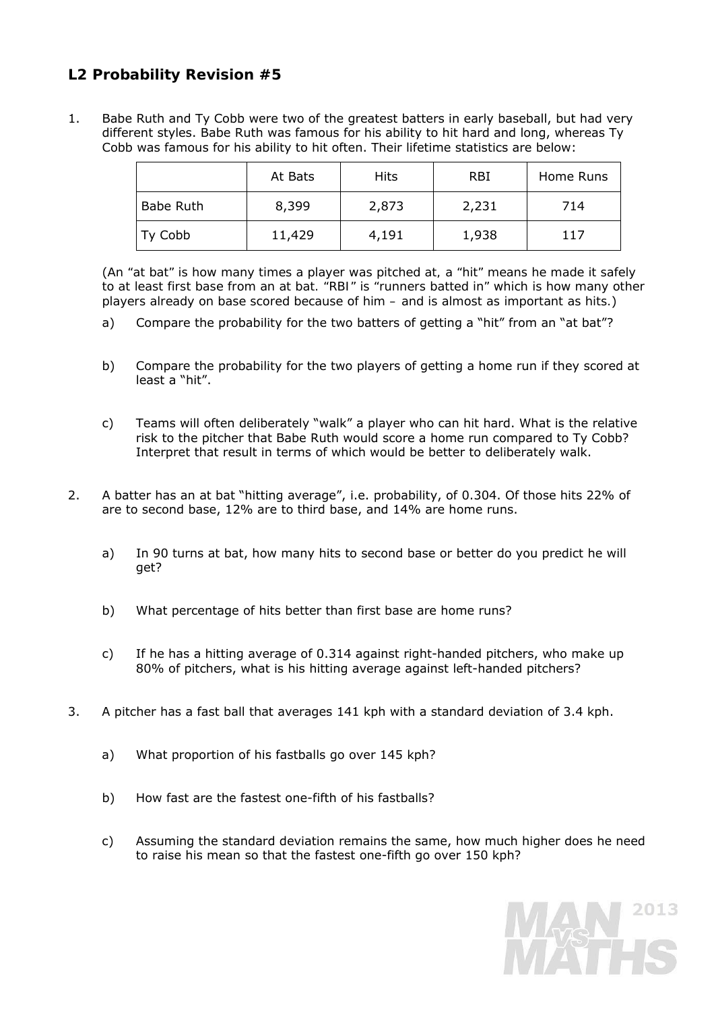# **L2 Probability Revision #5**

1. Babe Ruth and Ty Cobb were two of the greatest batters in early baseball, but had very different styles. Babe Ruth was famous for his ability to hit hard and long, whereas Ty Cobb was famous for his ability to hit often. Their lifetime statistics are below:

|           | At Bats | Hits  | <b>RBI</b> | Home Runs |
|-----------|---------|-------|------------|-----------|
| Babe Ruth | 8,399   | 2,873 | 2,231      | 714       |
| Ty Cobb   | 11,429  | 4,191 | 1,938      | 117       |

 (*An "at bat" is how many times a player was pitched at, a "hit" means he made it safely to at least first base from an at bat. "RBI" is "runners batted in" which is how many other players already on base scored because of him – and is almost as important as hits.*)

- a) Compare the probability for the two batters of getting a "hit" from an "at bat"?
- b) Compare the probability for the two players of getting a home run if they scored at least a "hit".
- c) Teams will often deliberately "walk" a player who can hit hard. What is the relative risk to the pitcher that Babe Ruth would score a home run compared to Ty Cobb? Interpret that result in terms of which would be better to deliberately walk.
- 2. A batter has an at bat "hitting average", i.e. probability, of 0.304. Of those hits 22% of are to second base, 12% are to third base, and 14% are home runs.
	- a) In 90 turns at bat, how many hits to second base or better do you predict he will get?
	- b) What percentage of hits better than first base are home runs?
	- c) If he has a hitting average of 0.314 against right-handed pitchers, who make up 80% of pitchers, what is his hitting average against left-handed pitchers?
- 3. A pitcher has a fast ball that averages 141 kph with a standard deviation of 3.4 kph.
	- a) What proportion of his fastballs go over 145 kph?
	- b) How fast are the fastest one-fifth of his fastballs?
	- c) Assuming the standard deviation remains the same, how much higher does he need to raise his mean so that the fastest one-fifth go over 150 kph?